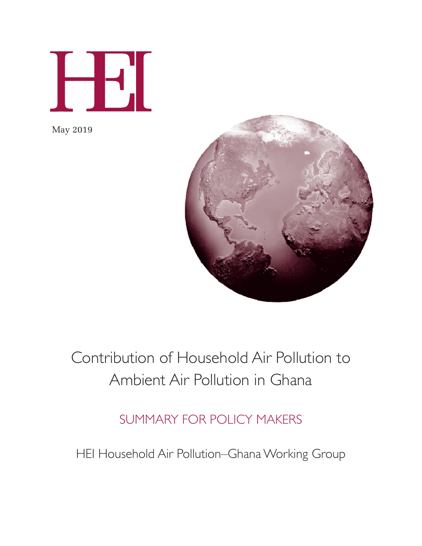

May 2019



## Contribution of Household Air Pollution to Ambient Air Pollution in Ghana

## SUMMARY FOR POLICY MAKERS

HEI Household Air Pollution–Ghana Working Group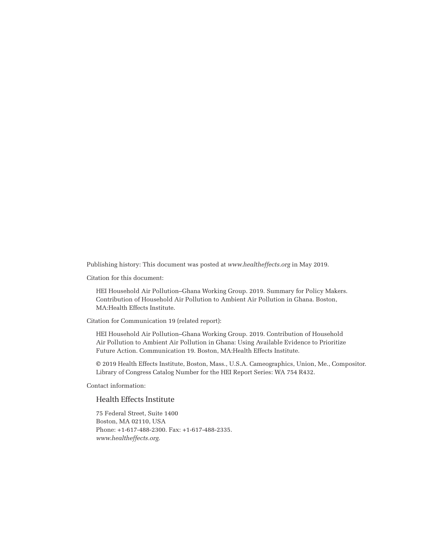Publishing history: This document was posted at *www.healtheffects.org* in May 2019.

Citation for this document:

HEI Household Air Pollution–Ghana Working Group. 2019. Summary for Policy Makers. Contribution of Household Air Pollution to Ambient Air Pollution in Ghana. Boston, MA:Health Effects Institute.

Citation for Communication 19 (related report):

HEI Household Air Pollution–Ghana Working Group. 2019. Contribution of Household Air Pollution to Ambient Air Pollution in Ghana: Using Available Evidence to Prioritize Future Action. Communication 19. Boston, MA:Health Effects Institute.

© 2019 Health Effects Institute, Boston, Mass., U.S.A. Cameographics, Union, Me., Compositor. Library of Congress Catalog Number for the HEI Report Series: WA 754 R432.

Contact information:

#### Health Effects Institute

75 Federal Street, Suite 1400 Boston, MA 02110, USA Phone: +1-617-488-2300. Fax: +1-617-488-2335. *www.healtheffects.org.*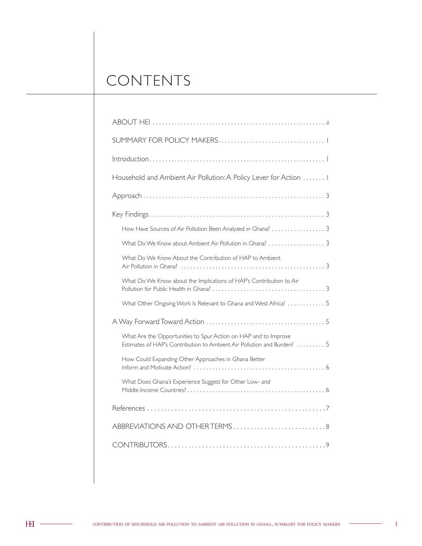## CONTENTS

| Household and Ambient Air Pollution: A Policy Lever for Action  I                                                                          |  |  |
|--------------------------------------------------------------------------------------------------------------------------------------------|--|--|
|                                                                                                                                            |  |  |
|                                                                                                                                            |  |  |
| How Have Sources of Air Pollution Been Analyzed in Ghana?  3                                                                               |  |  |
|                                                                                                                                            |  |  |
| What Do We Know About the Contribution of HAP to Ambient                                                                                   |  |  |
| What Do We Know about the Implications of HAP's Contribution to Air                                                                        |  |  |
| What Other Ongoing Work Is Relevant to Ghana and West Africa? 5                                                                            |  |  |
|                                                                                                                                            |  |  |
| What Are the Opportunities to Spur Action on HAP and to Improve<br>Estimates of HAP's Contribution to Ambient Air Pollution and Burden?  5 |  |  |
| How Could Expanding Other Approaches in Ghana Better                                                                                       |  |  |
| What Does Ghana's Experience Suggest for Other Low- and                                                                                    |  |  |
|                                                                                                                                            |  |  |
| ABBREVIATIONS AND OTHER TERMS8                                                                                                             |  |  |
|                                                                                                                                            |  |  |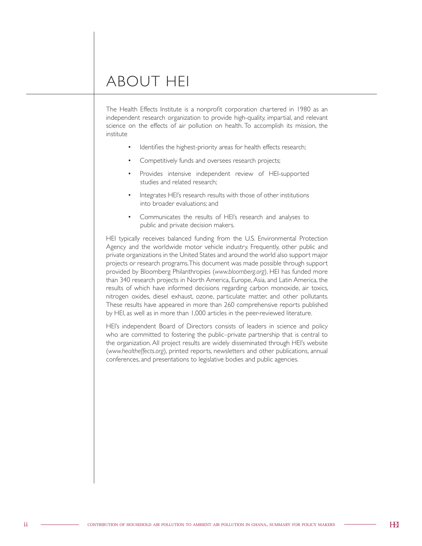### ABOUT HEI

The Health Effects Institute is a nonprofit corporation chartered in 1980 as an independent research organization to provide high-quality, impartial, and relevant science on the effects of air pollution on health. To accomplish its mission, the institute

- Identifies the highest-priority areas for health effects research;
- Competitively funds and oversees research projects;
- Provides intensive independent review of HEI-supported studies and related research;
- Integrates HEI's research results with those of other institutions into broader evaluations; and
- Communicates the results of HEI's research and analyses to public and private decision makers.

HEI typically receives balanced funding from the U.S. Environmental Protection Agency and the worldwide motor vehicle industry. Frequently, other public and private organizations in the United States and around the world also support major projects or research programs. This document was made possible through support provided by Bloomberg Philanthropies (*www.bloomberg.org*). HEI has funded more than 340 research projects in North America, Europe, Asia, and Latin America, the results of which have informed decisions regarding carbon monoxide, air toxics, nitrogen oxides, diesel exhaust, ozone, particulate matter, and other pollutants. These results have appeared in more than 260 comprehensive reports published by HEI, as well as in more than 1,000 articles in the peer-reviewed literature.

HEI's independent Board of Directors consists of leaders in science and policy who are committed to fostering the public–private partnership that is central to the organization. All project results are widely disseminated through HEI's website (*www.healtheffects.org*), printed reports, newsletters and other publications, annual conferences, and presentations to legislative bodies and public agencies.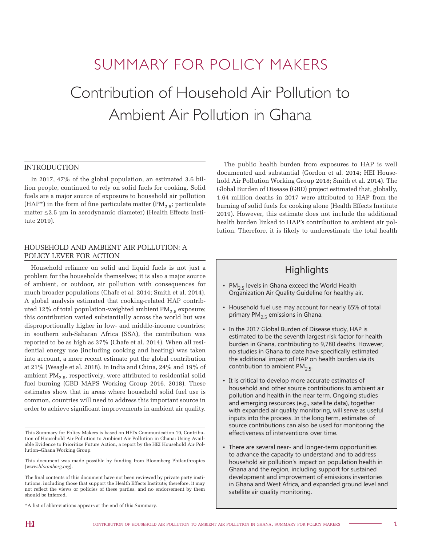# SUMMARY FOR POLICY MAKERS Contribution of Household Air Pollution to

# Ambient Air Pollution in Ghana

#### **INTRODUCTION**

In 2017, 47% of the global population, an estimated 3.6 billion people, continued to rely on solid fuels for cooking. Solid fuels are a major source of exposure to household air pollution (HAP\*) in the form of fine particulate matter (PM $_{2.5}$ ; particulate matter ≤ 2.5 µm in aerodynamic diameter) (Health Effects Institute 2019).

#### HOUSEHOLD AND AMBIENT AIR POLLUTION: A POLICY LEVER FOR ACTION

Household reliance on solid and liquid fuels is not just a problem for the households themselves; it is also a major source of ambient, or outdoor, air pollution with consequences for much broader populations (Chafe et al. 2014; Smith et al. 2014). A global analysis estimated that cooking-related HAP contributed 12% of total population-weighted ambient  $PM_{2.5}$  exposure; this contribution varied substantially across the world but was disproportionally higher in low- and middle-income countries; in southern sub-Saharan Africa (SSA), the contribution was reported to be as high as 37% (Chafe et al. 2014). When all residential energy use (including cooking and heating) was taken into account, a more recent estimate put the global contribution at 21% (Weagle et al. 2018). In India and China, 24% and 19% of ambient  $PM_{2.5}$ , respectively, were attributed to residential solid fuel burning (GBD MAPS Working Group 2016, 2018). These estimates show that in areas where household solid fuel use is common, countries will need to address this important source in order to achieve significant improvements in ambient air quality.

\*A list of abbreviations appears at the end of this Summary.

The public health burden from exposures to HAP is well documented and substantial (Gordon et al. 2014; HEI Household Air Pollution Working Group 2018; Smith et al. 2014). The Global Burden of Disease (GBD) project estimated that, globally, 1.64 million deaths in 2017 were attributed to HAP from the burning of solid fuels for cooking alone (Health Effects Institute 2019). However, this estimate does not include the additional health burden linked to HAP's contribution to ambient air pollution. Therefore, it is likely to underestimate the total health

#### **Highlights**

- $PM_{2.5}$  levels in Ghana exceed the World Health Organization Air Quality Guideline for healthy air.
- Household fuel use may account for nearly 65% of total primary PM<sub>2.5</sub> emissions in Ghana.
- In the 2017 Global Burden of Disease study, HAP is estimated to be the seventh largest risk factor for health burden in Ghana, contributing to 9,780 deaths. However, no studies in Ghana to date have specifically estimated the additional impact of HAP on health burden via its contribution to ambient  $PM<sub>2.5</sub>$ .
- It is critical to develop more accurate estimates of household and other source contributions to ambient air pollution and health in the near term. Ongoing studies and emerging resources (e.g., satellite data), together with expanded air quality monitoring, will serve as useful inputs into the process. In the long term, estimates of source contributions can also be used for monitoring the effectiveness of interventions over time.
- There are several near- and longer-term opportunities to advance the capacity to understand and to address household air pollution's impact on population health in Ghana and the region, including support for sustained development and improvement of emissions inventories in Ghana and West Africa, and expanded ground level and satellite air quality monitoring.

This Summary for Policy Makers is based on HEI's Communication 19, Contribution of Household Air Pollution to Ambient Air Pollution in Ghana: Using Available Evidence to Prioritize Future Action, a report by the HEI Household Air Pollution–Ghana Working Group.

This document was made possible by funding from Bloomberg Philanthropies (*www.bloomberg.org*).

The final contents of this document have not been reviewed by private party institutions, including those that support the Health Effects Institute; therefore, it may not reflect the views or policies of these parties, and no endorsement by them should be inferred.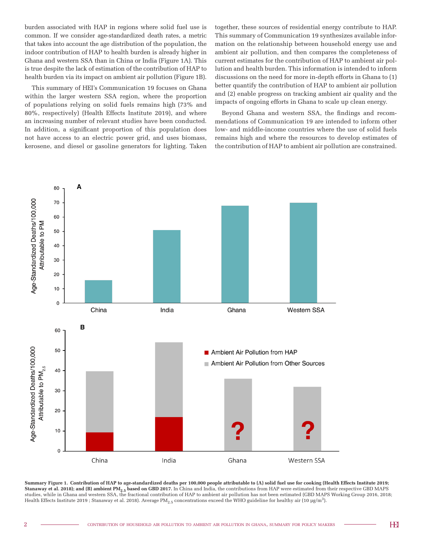burden associated with HAP in regions where solid fuel use is common. If we consider age-standardized death rates, a metric that takes into account the age distribution of the population, the indoor contribution of HAP to health burden is already higher in Ghana and western SSA than in China or India (Figure 1A). This is true despite the lack of estimation of the contribution of HAP to health burden via its impact on ambient air pollution (Figure 1B).

This summary of HEI's Communication 19 focuses on Ghana within the larger western SSA region, where the proportion of populations relying on solid fuels remains high (73% and 80%, respectively) (Health Effects Institute 2019), and where an increasing number of relevant studies have been conducted. In addition, a significant proportion of this population does not have access to an electric power grid, and uses biomass, kerosene, and diesel or gasoline generators for lighting. Taken

together, these sources of residential energy contribute to HAP. This summary of Communication 19 synthesizes available information on the relationship between household energy use and ambient air pollution, and then compares the completeness of current estimates for the contribution of HAP to ambient air pollution and health burden. This information is intended to inform discussions on the need for more in-depth efforts in Ghana to (1) better quantify the contribution of HAP to ambient air pollution and (2) enable progress on tracking ambient air quality and the impacts of ongoing efforts in Ghana to scale up clean energy.

Beyond Ghana and western SSA, the findings and recommendations of Communication 19 are intended to inform other low- and middle-income countries where the use of solid fuels remains high and where the resources to develop estimates of the contribution of HAP to ambient air pollution are constrained.



**Summary Figure 1. Contribution of HAP to age-standardized deaths per 100,000 people attributable to (A) solid fuel use for cooking (Health Effects Institute 2019; Stanaway et al. 2018); and (B) ambient PM<sub>2.5</sub> based on GBD 2017.** In China and India, the contributions from HAP were estimated from their respective GBD MAPS studies, while in Ghana and western SSA, the fractional contribution of HAP to ambient air pollution has not been estimated (GBD MAPS Working Group 2016, 2018; Health Effects Institute 2019 ; Stanaway et al. 2018). Average PM<sub>2.5</sub> concentrations exceed the WHO guideline for healthy air (10 µg/m<sup>3</sup>).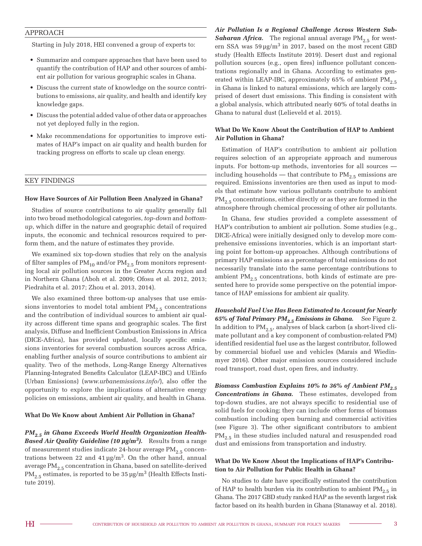#### APPROACH

Starting in July 2018, HEI convened a group of experts to:

- Summarize and compare approaches that have been used to quantify the contribution of HAP and other sources of ambient air pollution for various geographic scales in Ghana.
- Discuss the current state of knowledge on the source contributions to emissions, air quality, and health and identify key knowledge gaps.
- Discuss the potential added value of other data or approaches not yet deployed fully in the region.
- Make recommendations for opportunities to improve estimates of HAP's impact on air quality and health burden for tracking progress on efforts to scale up clean energy.

#### KEY FINDINGS

#### **How Have Sources of Air Pollution Been Analyzed in Ghana?**

Studies of source contributions to air quality generally fall into two broad methodological categories, *top-down* and *bottomup*, which differ in the nature and geographic detail of required inputs, the economic and technical resources required to perform them, and the nature of estimates they provide.

We examined six top-down studies that rely on the analysis of filter samples of  $PM_{10}$  and/or  $PM_{2.5}$  from monitors representing local air pollution sources in the Greater Accra region and in Northern Ghana (Aboh et al. 2009; Ofosu et al. 2012, 2013; Piedrahita et al. 2017; Zhou et al. 2013, 2014).

We also examined three bottom-up analyses that use emissions inventories to model total ambient  $PM_{2.5}$  concentrations and the contribution of individual sources to ambient air quality across different time spans and geographic scales. The first analysis, Diffuse and Inefficient Combustion Emissions in Africa (DICE-Africa), has provided updated, locally specific emissions inventories for several combustion sources across Africa, enabling further analysis of source contributions to ambient air quality. Two of the methods, Long-Range Energy Alternatives Planning-Integrated Benefits Calculator (LEAP-IBC) and UEinfo (Urban Emissions) (*www.urbanemissions.info/*), also offer the opportunity to explore the implications of alternative energy policies on emissions, ambient air quality, and health in Ghana.

#### **What Do We Know about Ambient Air Pollution in Ghana?**

*PM*<sub>2.5</sub> in Ghana Exceeds World Health Organization Health-*Based Air Quality Guideline (10 µg/m3).* Results from a range of measurement studies indicate 24-hour average  $PM_{2.5}$  concentrations between 22 and 41  $\mu$ g/m<sup>3</sup>. On the other hand, annual average PM<sub>2.5</sub> concentration in Ghana, based on satellite-derived  $PM_{2.5}$  estimates, is reported to be 35 µg/m<sup>3</sup> (Health Effects Institute 2019).

*Air Pollution Is a Regional Challenge Across Western Sub-***Saharan Africa.** The regional annual average  $PM_{2.5}$  for western SSA was  $59 \,\mathrm{µg/m^3}$  in 2017, based on the most recent GBD study (Health Effects Institute 2019). Desert dust and regional pollution sources (e.g., open fires) influence pollutant concentrations regionally and in Ghana. According to estimates generated within LEAP-IBC, approximately 65% of ambient  $PM_{2.5}$ in Ghana is linked to natural emissions, which are largely comprised of desert dust emissions. This finding is consistent with a global analysis, which attributed nearly 60% of total deaths in Ghana to natural dust (Lelieveld et al. 2015).

#### **What Do We Know About the Contribution of HAP to Ambient Air Pollution in Ghana?**

Estimation of HAP's contribution to ambient air pollution requires selection of an appropriate approach and numerous inputs. For bottom-up methods, inventories for all sources including households — that contribute to  $PM_{2.5}$  emissions are required. Emissions inventories are then used as input to models that estimate how various pollutants contribute to ambient  $PM_{2.5}$  concentrations, either directly or as they are formed in the atmosphere through chemical processing of other air pollutants.

In Ghana, few studies provided a complete assessment of HAP's contribution to ambient air pollution. Some studies (e.g., DICE-Africa) were initially designed only to develop more comprehensive emissions inventories, which is an important starting point for bottom-up approaches. Although contributions of primary HAP emissions as a percentage of total emissions do not necessarily translate into the same percentage contributions to ambient  $PM_{2.5}$  concentrations, both kinds of estimate are presented here to provide some perspective on the potential importance of HAP emissions for ambient air quality.

*Household Fuel Use Has Been Estimated to Account for Nearly*  65% of Total Primary PM<sub>2.5</sub> Emissions in Ghana. See Figure 2. In addition to  $PM_{2.5}$ , analyses of black carbon (a short-lived climate pollutant and a key component of combustion-related PM) identified residential fuel use as the largest contributor, followed by commercial biofuel use and vehicles (Marais and Wiedinmyer 2016). Other major emission sources considered include road transport, road dust, open fires, and industry.

*Biomass Combustion Explains 10% to 36% of Ambient PM*<sub>2.5</sub> *Concentrations in Ghana.* These estimates, developed from top-down studies, are not always specific to residential use of solid fuels for cooking; they can include other forms of biomass combustion including open burning and commercial activities (see Figure 3). The other significant contributors to ambient  $PM<sub>2.5</sub>$  in these studies included natural and resuspended road dust and emissions from transportation and industry.

#### **What Do We Know About the Implications of HAP's Contribution to Air Pollution for Public Health in Ghana?**

No studies to date have specifically estimated the contribution of HAP to health burden via its contribution to ambient  $PM_{2.5}$  in Ghana. The 2017 GBD study ranked HAP as the seventh largest risk factor based on its health burden in Ghana (Stanaway et al. 2018).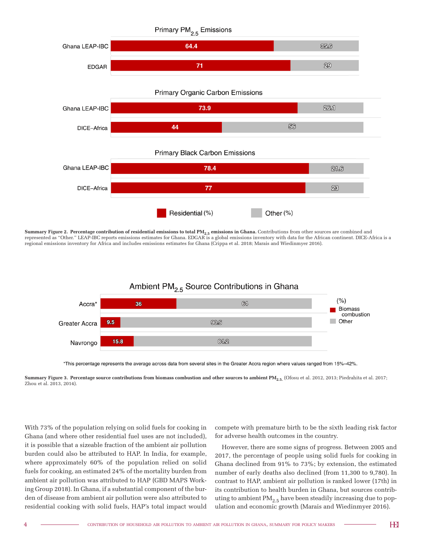

**Summary Figure 2. Percentage contribution of residential emissions to total PM2.5 emissions in Ghana.** Contributions from other sources are combined and represented as "Other." LEAP-IBC reports emissions estimates for Ghana. EDGAR is a global emissions inventory with data for the African continent. DICE-Africa is a regional emissions inventory for Africa and includes emissions estimates for Ghana (Crippa et al. 2018; Marais and Wiedinmyer 2016).



\*This percentage represents the average across data from several sites in the Greater Accra region where values ranged from 15%-42%.

**Summary Figure 3. Percentage source contributions from biomass combustion and other sources to ambient PM2.5.** (Ofosu et al. 2012, 2013; Piedrahita et al. 2017; Zhou et al. 2013, 2014).

With 73% of the population relying on solid fuels for cooking in Ghana (and where other residential fuel uses are not included), it is possible that a sizeable fraction of the ambient air pollution burden could also be attributed to HAP. In India, for example, where approximately 60% of the population relied on solid fuels for cooking, an estimated 24% of the mortality burden from ambient air pollution was attributed to HAP (GBD MAPS Working Group 2018). In Ghana, if a substantial component of the burden of disease from ambient air pollution were also attributed to residential cooking with solid fuels, HAP's total impact would

compete with premature birth to be the sixth leading risk factor for adverse health outcomes in the country.

However, there are some signs of progress. Between 2005 and 2017, the percentage of people using solid fuels for cooking in Ghana declined from 91% to 73%; by extension, the estimated number of early deaths also declined (from 11,300 to 9,780). In contrast to HAP, ambient air pollution is ranked lower (17th) in its contribution to health burden in Ghana, but sources contributing to ambient  $\mathrm{PM}_{2.5}$  have been steadily increasing due to population and economic growth (Marais and Wiedinmyer 2016).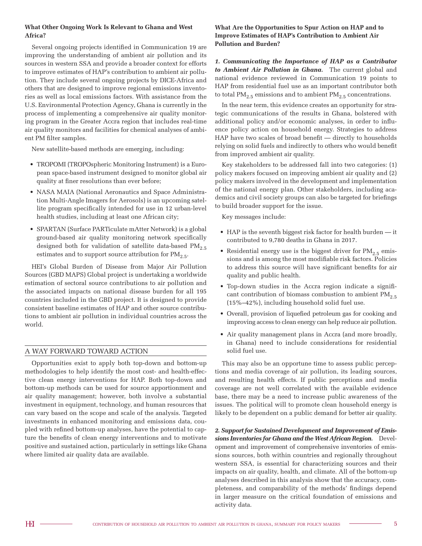#### **What Other Ongoing Work Is Relevant to Ghana and West Africa?**

Several ongoing projects identified in Communication 19 are improving the understanding of ambient air pollution and its sources in western SSA and provide a broader context for efforts to improve estimates of HAP's contribution to ambient air pollution. They include several ongoing projects by DICE-Africa and others that are designed to improve regional emissions inventories as well as local emissions factors. With assistance from the U.S. Environmental Protection Agency, Ghana is currently in the process of implementing a comprehensive air quality monitoring program in the Greater Accra region that includes real-time air quality monitors and facilities for chemical analyses of ambient PM filter samples.

New satellite-based methods are emerging, including:

- TROPOMI (TROPOspheric Monitoring Instrument) is a European space-based instrument designed to monitor global air quality at finer resolutions than ever before;
- NASA MAIA (National Aeronautics and Space Administration Multi-Angle Imagers for Aerosols) is an upcoming satellite program specifically intended for use in 12 urban-level health studies, including at least one African city;
- SPARTAN (Surface PARTiculate mAtter Network) is a global ground-based air quality monitoring network specifically designed both for validation of satellite data-based  $PM_{2.5}$ estimates and to support source attribution for  $PM_{2.5}$ .

HEI's Global Burden of Disease from Major Air Pollution Sources (GBD MAPS) Global project is undertaking a worldwide estimation of sectoral source contributions to air pollution and the associated impacts on national disease burden for all 195 countries included in the GBD project. It is designed to provide consistent baseline estimates of HAP and other source contributions to ambient air pollution in individual countries across the world.

#### A WAY FORWARD TOWARD ACTION

Opportunities exist to apply both top-down and bottom-up methodologies to help identify the most cost- and health-effective clean energy interventions for HAP. Both top-down and bottom-up methods can be used for source apportionment and air quality management; however, both involve a substantial investment in equipment, technology, and human resources that can vary based on the scope and scale of the analysis. Targeted investments in enhanced monitoring and emissions data, coupled with refined bottom-up analyses, have the potential to capture the benefits of clean energy interventions and to motivate positive and sustained action, particularly in settings like Ghana where limited air quality data are available.

#### **What Are the Opportunities to Spur Action on HAP and to Improve Estimates of HAP's Contribution to Ambient Air Pollution and Burden?**

*1. Communicating the Importance of HAP as a Contributor to Ambient Air Pollution in Ghana.* The current global and national evidence reviewed in Communication 19 points to HAP from residential fuel use as an important contributor both to total  $PM_{2.5}$  emissions and to ambient  $PM_{2.5}$  concentrations.

In the near term, this evidence creates an opportunity for strategic communications of the results in Ghana, bolstered with additional policy and/or economic analyses, in order to influence policy action on household energy. Strategies to address HAP have two scales of broad benefit — directly to households relying on solid fuels and indirectly to others who would benefit from improved ambient air quality.

Key stakeholders to be addressed fall into two categories: (1) policy makers focused on improving ambient air quality and (2) policy makers involved in the development and implementation of the national energy plan. Other stakeholders, including academics and civil society groups can also be targeted for briefings to build broader support for the issue.

Key messages include:

- HAP is the seventh biggest risk factor for health burden it contributed to 9,780 deaths in Ghana in 2017.
- Residential energy use is the biggest driver for  $PM_{2.5}$  emissions and is among the most modifiable risk factors. Policies to address this source will have significant benefits for air quality and public health.
- Top-down studies in the Accra region indicate a significant contribution of biomass combustion to ambient  $PM_{2.5}$ (15%–42%), including household solid fuel use.
- Overall, provision of liquefied petroleum gas for cooking and improving access to clean energy can help reduce air pollution.
- Air quality management plans in Accra (and more broadly, in Ghana) need to include considerations for residential solid fuel use.

This may also be an opportune time to assess public perceptions and media coverage of air pollution, its leading sources, and resulting health effects. If public perceptions and media coverage are not well correlated with the available evidence base, there may be a need to increase public awareness of the issues. The political will to promote clean household energy is likely to be dependent on a public demand for better air quality.

*2. Support for Sustained Development and Improvement of Emissions Inventories for Ghana and the West African Region.* Development and improvement of comprehensive inventories of emissions sources, both within countries and regionally throughout western SSA, is essential for characterizing sources and their impacts on air quality, health, and climate. All of the bottom-up analyses described in this analysis show that the accuracy, completeness, and comparability of the methods' findings depend in larger measure on the critical foundation of emissions and activity data.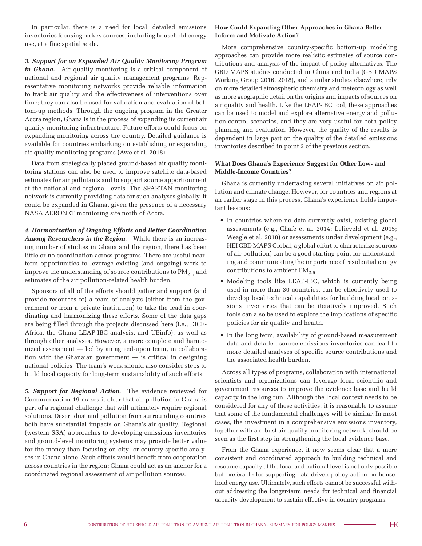In particular, there is a need for local, detailed emissions inventories focusing on key sources, including household energy use, at a fine spatial scale.

*3. Support for an Expanded Air Quality Monitoring Program in Ghana.* Air quality monitoring is a critical component of national and regional air quality management programs. Representative monitoring networks provide reliable information to track air quality and the effectiveness of interventions over time; they can also be used for validation and evaluation of bottom-up methods. Through the ongoing program in the Greater Accra region, Ghana is in the process of expanding its current air quality monitoring infrastructure. Future efforts could focus on expanding monitoring across the country. Detailed guidance is available for countries embarking on establishing or expanding air quality monitoring programs (Awe et al. 2018).

Data from strategically placed ground-based air quality monitoring stations can also be used to improve satellite data-based estimates for air pollutants and to support source apportionment at the national and regional levels. The SPARTAN monitoring network is currently providing data for such analyses globally. It could be expanded in Ghana, given the presence of a necessary NASA AERONET monitoring site north of Accra.

*4. Harmonization of Ongoing Efforts and Better Coordination Among Researchers in the Region.* While there is an increasing number of studies in Ghana and the region, there has been little or no coordination across programs. There are useful nearterm opportunities to leverage existing (and ongoing) work to improve the understanding of source contributions to  $PM_{2.5}$  and estimates of the air pollution-related health burden.

Sponsors of all of the efforts should gather and support (and provide resources to) a team of analysts (either from the government or from a private institution) to take the lead in coordinating and harmonizing these efforts. Some of the data gaps are being filled through the projects discussed here (i.e., DICE-Africa, the Ghana LEAP-IBC analysis, and UEinfo), as well as through other analyses. However, a more complete and harmonized assessment — led by an agreed-upon team, in collaboration with the Ghanaian government — is critical in designing national policies. The team's work should also consider steps to build local capacity for long-term sustainability of such efforts.

*5. Support for Regional Action.* The evidence reviewed for Communication 19 makes it clear that air pollution in Ghana is part of a regional challenge that will ultimately require regional solutions. Desert dust and pollution from surrounding countries both have substantial impacts on Ghana's air quality. Regional (western SSA) approaches to developing emissions inventories and ground-level monitoring systems may provide better value for the money than focusing on city- or country-specific analyses in Ghana alone. Such efforts would benefit from cooperation across countries in the region; Ghana could act as an anchor for a coordinated regional assessment of air pollution sources.

#### **How Could Expanding Other Approaches in Ghana Better Inform and Motivate Action?**

More comprehensive country-specific bottom-up modeling approaches can provide more realistic estimates of source contributions and analysis of the impact of policy alternatives. The GBD MAPS studies conducted in China and India (GBD MAPS Working Group 2016, 2018), and similar studies elsewhere, rely on more detailed atmospheric chemistry and meteorology as well as more geographic detail on the origins and impacts of sources on air quality and health. Like the LEAP-IBC tool, these approaches can be used to model and explore alternative energy and pollution-control scenarios, and they are very useful for both policy planning and evaluation. However, the quality of the results is dependent in large part on the quality of the detailed emissions inventories described in point 2 of the previous section.

#### **What Does Ghana's Experience Suggest for Other Low- and Middle-Income Countries?**

Ghana is currently undertaking several initiatives on air pollution and climate change. However, for countries and regions at an earlier stage in this process, Ghana's experience holds important lessons:

- In countries where no data currently exist, existing global assessments (e.g., Chafe et al. 2014; Lelieveld et al. 2015; Weagle et al. 2018) or assessments under development (e.g., HEI GBD MAPS Global, a global effort to characterize sources of air pollution) can be a good starting point for understanding and communicating the importance of residential energy contributions to ambient  $PM_{2.5}$ .
- Modeling tools like LEAP-IBC, which is currently being used in more than 30 countries, can be effectively used to develop local technical capabilities for building local emissions inventories that can be iteratively improved. Such tools can also be used to explore the implications of specific policies for air quality and health.
- In the long term, availability of ground-based measurement data and detailed source emissions inventories can lead to more detailed analyses of specific source contributions and the associated health burden.

Across all types of programs, collaboration with international scientists and organizations can leverage local scientific and government resources to improve the evidence base and build capacity in the long run. Although the local context needs to be considered for any of these activities, it is reasonable to assume that some of the fundamental challenges will be similar. In most cases, the investment in a comprehensive emissions inventory, together with a robust air quality monitoring network, should be seen as the first step in strengthening the local evidence base.

From the Ghana experience, it now seems clear that a more consistent and coordinated approach to building technical and resource capacity at the local and national level is not only possible but preferable for supporting data-driven policy action on household energy use. Ultimately, such efforts cannot be successful without addressing the longer-term needs for technical and financial capacity development to sustain effective in-country programs.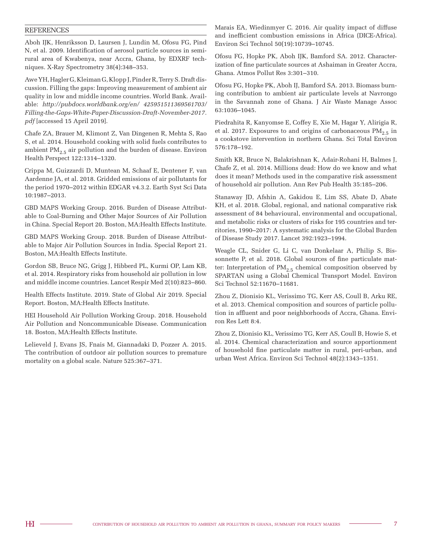#### **REFERENCES**

Aboh IJK, Henriksson D, Laursen J, Lundin M, Ofosu FG, Pind N, et al. 2009. Identification of aerosol particle sources in semirural area of Kwabenya, near Accra, Ghana, by EDXRF techniques. X-Ray Spectrometry 38(4):348–353.

Awe YH, Hagler G, Kleiman G, Klopp J, Pinder R, Terry S. Draft discussion. Filling the gaps: Improving measurement of ambient air quality in low and middle income countries. World Bank. Available: *http://pubdocs.worldbank.org/en/ 425951511369561703/ Filling-the-Gaps-White-Paper-Discussion-Draft-November-2017. pdf* [accessed 15 April 2019].

Chafe ZA, Brauer M, Klimont Z, Van Dingenen R, Mehta S, Rao S, et al. 2014. Household cooking with solid fuels contributes to ambient  $PM_{2.5}$  air pollution and the burden of disease. Environ Health Perspect 122:1314–1320.

Crippa M, Guizzardi D, Muntean M, Schaaf E, Dentener F, van Aardenne JA, et al. 2018. Gridded emissions of air pollutants for the period 1970–2012 within EDGAR v4.3.2. Earth Syst Sci Data 10:1987–2013.

GBD MAPS Working Group. 2016. Burden of Disease Attributable to Coal-Burning and Other Major Sources of Air Pollution in China. Special Report 20. Boston, MA:Health Effects Institute.

GBD MAPS Working Group. 2018. Burden of Disease Attributable to Major Air Pollution Sources in India. Special Report 21. Boston, MA:Health Effects Institute.

Gordon SB, Bruce NG, Grigg J, Hibberd PL, Kurmi OP, Lam KB, et al. 2014. Respiratory risks from household air pollution in low and middle income countries. Lancet Respir Med 2(10):823–860.

Health Effects Institute. 2019. State of Global Air 2019. Special Report. Boston, MA:Health Effects Institute.

HEI Household Air Pollution Working Group. 2018. Household Air Pollution and Noncommunicable Disease. Communication 18. Boston, MA:Health Effects Institute.

Lelieveld J, Evans JS, Fnais M, Giannadaki D, Pozzer A. 2015. The contribution of outdoor air pollution sources to premature mortality on a global scale. Nature 525:367–371.

Marais EA, Wiedinmyer C. 2016. Air quality impact of diffuse and inefficient combustion emissions in Africa (DICE-Africa). Environ Sci Technol 50(19):10739–10745.

Ofosu FG, Hopke PK, Aboh IJK, Bamford SA. 2012. Characterization of fine particulate sources at Ashaiman in Greater Accra, Ghana. Atmos Pollut Res 3:301–310.

Ofosu FG, Hopke PK, Aboh IJ, Bamford SA. 2013. Biomass burning contribution to ambient air particulate levels at Navrongo in the Savannah zone of Ghana. J Air Waste Manage Assoc 63:1036–1045.

Piedrahita R, Kanyomse E, Coffey E, Xie M, Hagar Y, Alirigia R, et al. 2017. Exposures to and origins of carbonaceous  $PM_{2.5}$  in a cookstove intervention in northern Ghana. Sci Total Environ 576:178–192.

Smith KR, Bruce N, Balakrishnan K, Adair-Rohani H, Balmes J, Chafe Z, et al. 2014. Millions dead: How do we know and what does it mean? Methods used in the comparative risk assessment of household air pollution. Ann Rev Pub Health 35:185–206.

Stanaway JD, Afshin A, Gakidou E, Lim SS, Abate D, Abate KH, et al. 2018. Global, regional, and national comparative risk assessment of 84 behavioural, environmental and occupational, and metabolic risks or clusters of risks for 195 countries and territories, 1990–2017: A systematic analysis for the Global Burden of Disease Study 2017. Lancet 392:1923–1994.

Weagle CL, Snider G, Li C, van Donkelaar A, Philip S, Bissonnette P, et al. 2018. Global sources of fine particulate matter: Interpretation of  $PM_{2.5}$  chemical composition observed by SPARTAN using a Global Chemical Transport Model. Environ Sci Technol 52:11670–11681.

Zhou Z, Dionisio KL, Verissimo TG, Kerr AS, Coull B, Arku RE, et al. 2013. Chemical composition and sources of particle pollution in affluent and poor neighborhoods of Accra, Ghana. Environ Res Lett 8:4.

Zhou Z, Dionisio KL, Verissimo TG, Kerr AS, Coull B, Howie S, et al. 2014. Chemical characterization and source apportionment of household fine particulate matter in rural, peri-urban, and urban West Africa. Environ Sci Technol 48(2):1343–1351.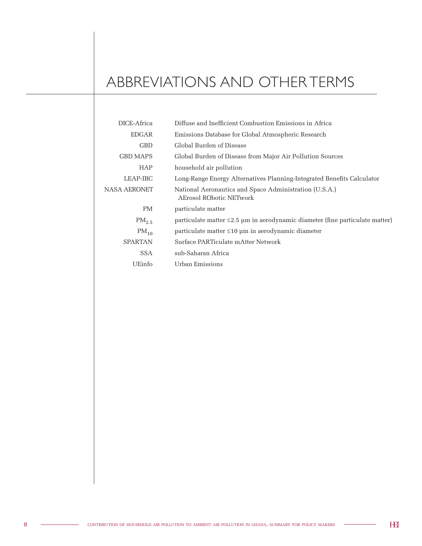## ABBREVIATIONS AND OTHER TERMS

| DICE-Africa         | Diffuse and Inefficient Combustion Emissions in Africa                                   |
|---------------------|------------------------------------------------------------------------------------------|
| EDGAR               | Emissions Database for Global Atmospheric Research                                       |
| <b>GBD</b>          | Global Burden of Disease                                                                 |
| <b>GBD MAPS</b>     | Global Burden of Disease from Major Air Pollution Sources                                |
| <b>HAP</b>          | household air pollution                                                                  |
| LEAP-IBC            | Long-Range Energy Alternatives Planning-Integrated Benefits Calculator                   |
| <b>NASA AERONET</b> | National Aeronautics and Space Administration (U.S.A.)<br><b>AErosol RObotic NETwork</b> |
| PM                  | particulate matter                                                                       |
| $PM_{2.5}$          | particulate matter $\leq$ 2.5 µm in aerodynamic diameter (fine particulate matter)       |
| $PM_{10}$           | $particulate matter \leq 10 \mu m$ in aerodynamic diameter                               |
| <b>SPARTAN</b>      | Surface PARTiculate mAtter Network                                                       |
| SSA                 | sub-Saharan Africa                                                                       |
| UEinfo              | Urban Emissions                                                                          |
|                     |                                                                                          |